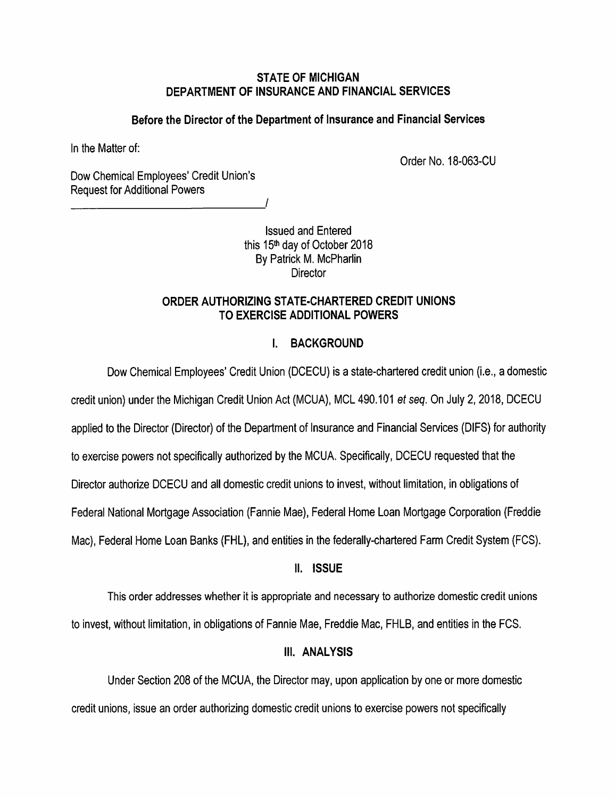### *STATE OF MICHIGAN DEPARTMENT OF INSURANCE AND FINANCIAL SERVICES*

## **Before the Director of the Department of Insurance and Financial Services**

In the Matter of:

Order No. 18-063-CU

Dow Chemical Employees' Credit Union's Request for Additional Powers

> Issued and Entered this 15<sup>th</sup> day of October 2018 By Patrick M. McPharlin **Director**

*/* 

## *ORDER AUTHORIZING STATE-CHARTERED CREDIT UNIONS TO EXERCISE ADDITIONAL POWERS*

# I. BACKGROUND

Dow Chemical Employees' Credit Union (DCECU) is a state-chartered credit union (i.e., a domestic credit union) under the Michigan Credit Union Act (MCUA), MCL 490.101 **etseq.** On July 2,2018, DCECU applied to the Director (Director) of the Department of Insurance and Financial Services (DIFS) for authority to exercise powers not specifically authorized by the MCUA. Specifically, DCECU requested that the Director authorize DCECU and all domestic credit unions to invest, without limitation, in obligations of Federal National Mortgage Association (Fannie Mae), Federal Home Loan Mortgage Corporation (Freddie Mac), Federal Home Loan Banks (FHL), and entities in the federally-chartered Farm Credit System (FCS).

# *II. ISSUE*

This order addresses whether it is appropriate and necessary to authorize domestic credit unions to invest, without limitation, in obligations of Fannie Mae, Freddie Mac, FHLB, and entities in the FCS.

# *III. ANALYSIS*

Under Section 208 of the MCUA, the Director may, upon application by one or more domestic credit unions, issue an order authorizing domestic credit unions to exercise powers not specifically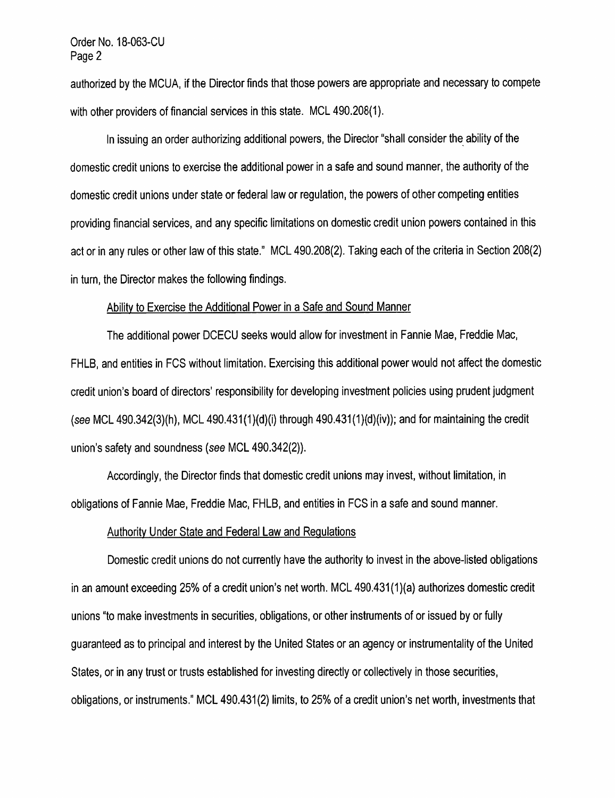#### *Order No. 18-063-CU Page 2*

*authorized by the MCUA, ifthe Director finds that those powers are appropriate and necessary to compete with other providers of financial services in this state. MCL 490.208(1).* 

In issuing an order authorizing additional powers, the Director "shall consider the ability of the *domestic credit unions to exercise the additional power in a safe and sound manner, the authority ofthe domestic credit unions under state or federal law or regulation, the powers of other competing entities providing financial services, and any specific limitations ondomestic credit union powers contained in this*  act or in any rules or other law of this state." MCL 490.208(2). Taking each of the criteria in Section 208(2) *in turn, the Director makes the following findings.* 

#### *Ability to Exercise the Additional Power in a Safe and Sound Manner*

*The additional power DCECU seeks would allow for investment in Fannie Mae, Freddie Mac, FHLB, and entities in FCS without limitation. Exercising this additional power would notaffect the domestic credit union's board of directors' responsibility for developing investment policies using prudent judgment (see MCL 490.342(3)(h), MCL 490.431 (1)(d)(i) through 490.431 (1)(d)(iv)); and for maintaining thecredit union's safety and soundness (see MCL 490.342(2)).* 

*Accordingly, the Director finds that domestic credit unions may invest, without limitation, in obligations of Fannie Mae, Freddie Mac, FHLB, and entities in FCS in a safe and sound manner.* 

#### *Authority Under State and Federal Law and Regulations*

*Domestic credit unions do not currently have the authority to invest in the above-listed obligations in an amount exceeding 25% of a credit union's networth. MCL 490.431 (1)(a) authorizes domestic credit unions "to make investments in securities, obligations, orotherinstruments of orissued by or fully guaranteed as to principal and interest by the United States oran agency orinstrumentality of the United States, orin anytrust ortrusts established for investing directly orcollectively in those securities, obligations, or instruments." MCL 490.431(2) limits, to 25% of a credit union's net worth, investments that*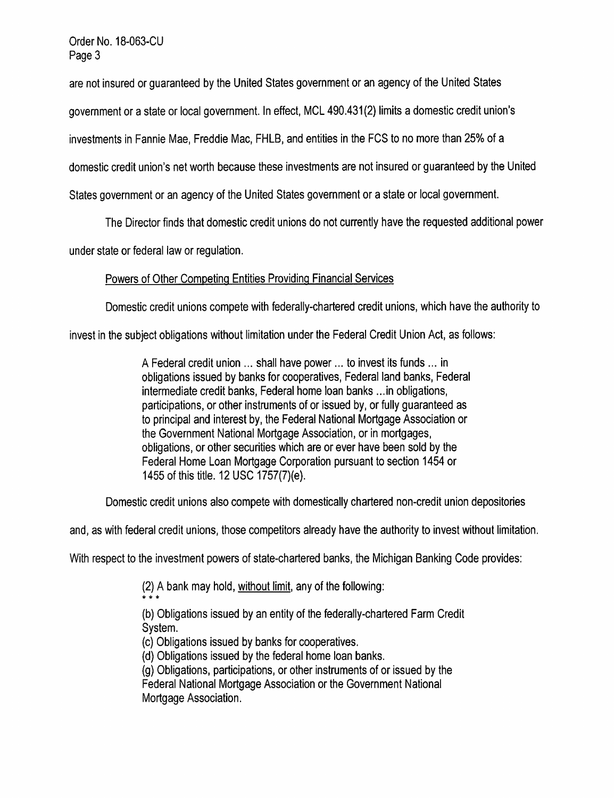*Order No. 18-063-CU Page3* 

are not insured or guaranteed by the United States government or an agency of the United States

*government or a state or local government. In effect, MCL 490.431(2) limits a domestic credit union's* 

*investments in Fannie Mae, Freddie Mac, FHLB, and entities in the FCS to no more than 25% of a* 

*domestic credit union's networth because these investments arenot insured orguaranteed by the United* 

*States government or an agency ofthe United States government ora state orlocal government.* 

*The Director finds that domestic credit unions do not currently have the requested additional power* 

*understate or federal law or regulation.* 

# *Powers of Other Competing Entities Providing Financial Services*

*Domestic credit unions compete with federally-chartered credit unions, which have the authority to* 

*invest in the subject obligations without limitation under the Federal Credit Union Act, as follows:* 

*A Federal credit union ... shall have power... to invest its funds ... in obligations issued by banks for cooperatives, Federal land banks, Federal intermediate credit banks, Federal home loan banks ...in obligations,*  participations, or other instruments of or issued by, or fully quaranteed as *to principal and interest by, the Federal National Mortgage Association or the Government National Mortgage Association, or in mortgages, obligations, orother securities which are orever have been sold by the Federal Home Loan Mortgage Corporation pursuant to section 1454 or 1455 of this title. 12 USC 1757(7)(e).* 

*Domestic credit unions also compete with domestically chartered non-credit union depositories* 

*and, as with federal credit unions, those competitors already have the authority to invest without limitation.* 

*With respect to the investment powers of state-chartered banks, the Michigan Banking Code provides:* 

*(2) A bank may hold, without limit, anyof the following: \* \* \** 

*(b) Obligations issued by an entityof the federally-chartered Farm Credit System.* 

*(c) Obligations issued by banks for cooperatives.* 

*(d) Obligations issued by the federal home loan banks.* 

*(g) Obligations, participations, orotherinstruments of orissued by the*  **Federal National Mortgage Association or the Government National** *Mortgage Association.*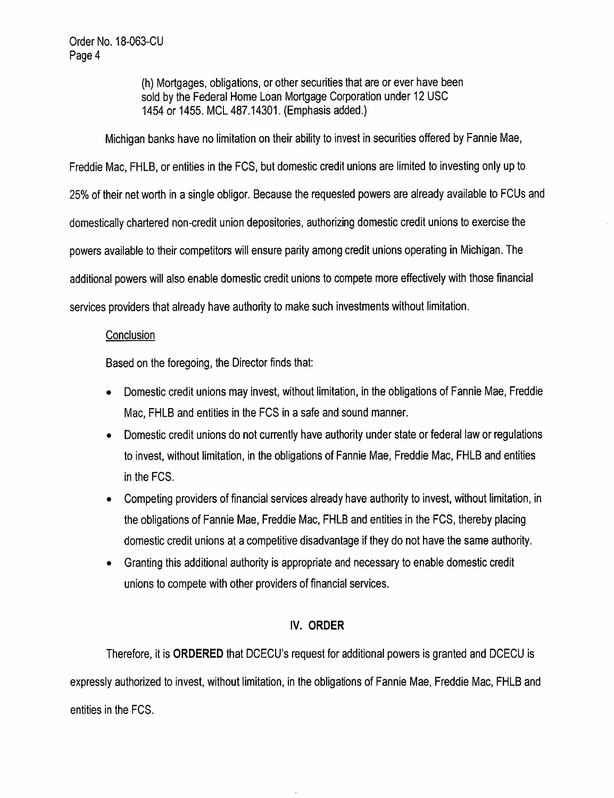(h) Mortgages, obligations, or other securities that are or ever have been sold by the Federal Home Loan Mortgage Corporation under 12 USC 1454 or 1455. MCL 487.14301. (Emphasis added.)

Michigan banks have no limitation on their ability to invest in securities offered by Fannie Mae, Freddie Mac, FHLB, or entities in the FCS, but domestic credit unions are limited to investing only up to 25% oftheir networth in a single obligor. Because the requested powers are already available to FCUs and domestically chartered non-credit union depositories, authorizing domestic credit unions to exercise the powers available to their competitors will ensure parity among credit unions operating in Michigan. The additional powers will also enable domestic credit unions to compete more effectively with those financial services providers that already have authority to make such investments without limitation.

### **Conclusion**

Based on the foregoing, the Director finds that:

- Domestic credit unions may invest, without limitation, in the obligations of Fannie Mae, Freddie Mac, FHLB and entities in the FCS in a safe and sound manner.
- Domestic credit unions do not currently have authority under state or federal law or regulations to invest, without limitation, in the obligations of Fannie Mae, Freddie Mac, FHLB and entities in the FCS.
- Competing providers offinancial servicesalready have authority to invest, without limitation, in the obligations of Fannie Mae, Freddie Mac, FHLB and entities in the FCS, thereby placing domestic credit unions at a competitive disadvantage if theydo not have the same authority.
- Granting this additional authority is appropriate and necessaryto enable domestic credit unions to compete with other providers of financial services.

# *IV. ORDER*

Therefore, it is *ORDERED* that DCECU's request for additional powers is granted and DCECU is expressly authorized to invest, without limitation, in the obligations of Fannie Mae, Freddie Mac, FHLB and entities in the FCS.